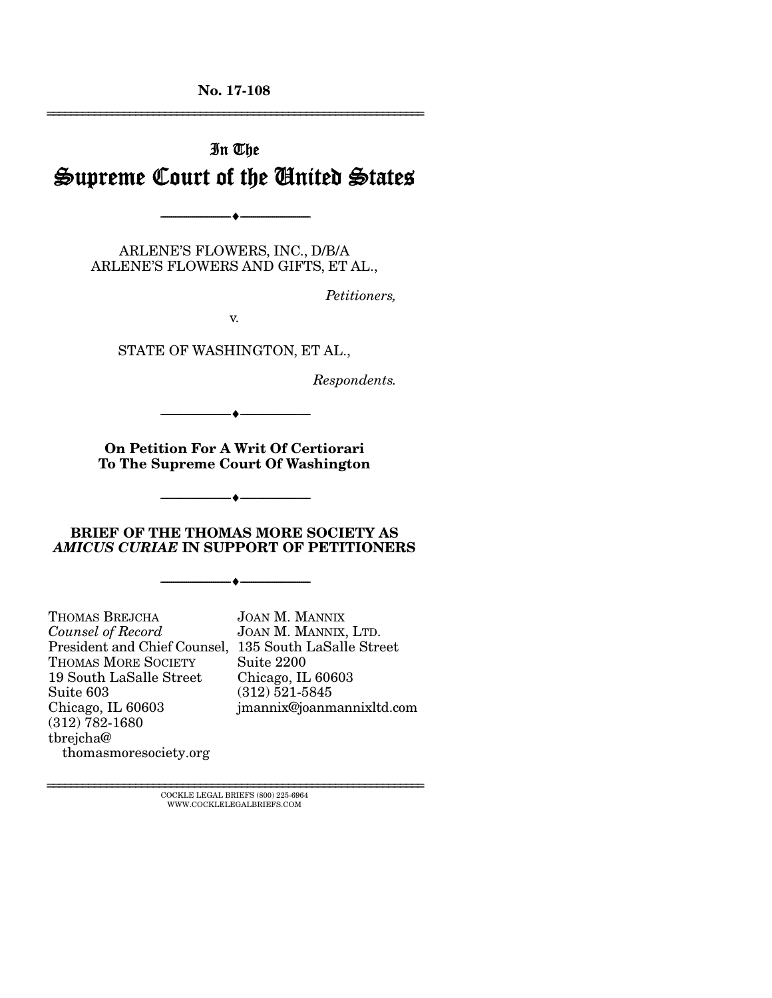No. 17-108 ================================================================

# In The Supreme Court of the United States

ARLENE'S FLOWERS, INC., D/B/A ARLENE'S FLOWERS AND GIFTS, ET AL.,

--------------------------------- ---------------------------------

*Petitioners,* 

v.

STATE OF WASHINGTON, ET AL.,

*Respondents.* 

On Petition For A Writ Of Certiorari To The Supreme Court Of Washington

--------------------------------- ---------------------------------

--------------------------------- ---------------------------------

#### BRIEF OF THE THOMAS MORE SOCIETY AS *AMICUS CURIAE* IN SUPPORT OF PETITIONERS

--------------------------------- ---------------------------------

THOMAS BREJCHA *Counsel of Record* President and Chief Counsel, 135 South LaSalle Street THOMAS MORE SOCIETY 19 South LaSalle Street Suite 603 Chicago, IL 60603 (312) 782-1680 tbrejcha@ thomasmoresociety.org

JOAN M. MANNIX JOAN M. MANNIX, LTD. Suite 2200 Chicago, IL 60603 (312) 521-5845 jmannix@joanmannixltd.com

 $\textsc{COCKLE}$  LEGAL BRIEFS (800) 225-6964 WWW.COCKLELEGALBRIEFS.COM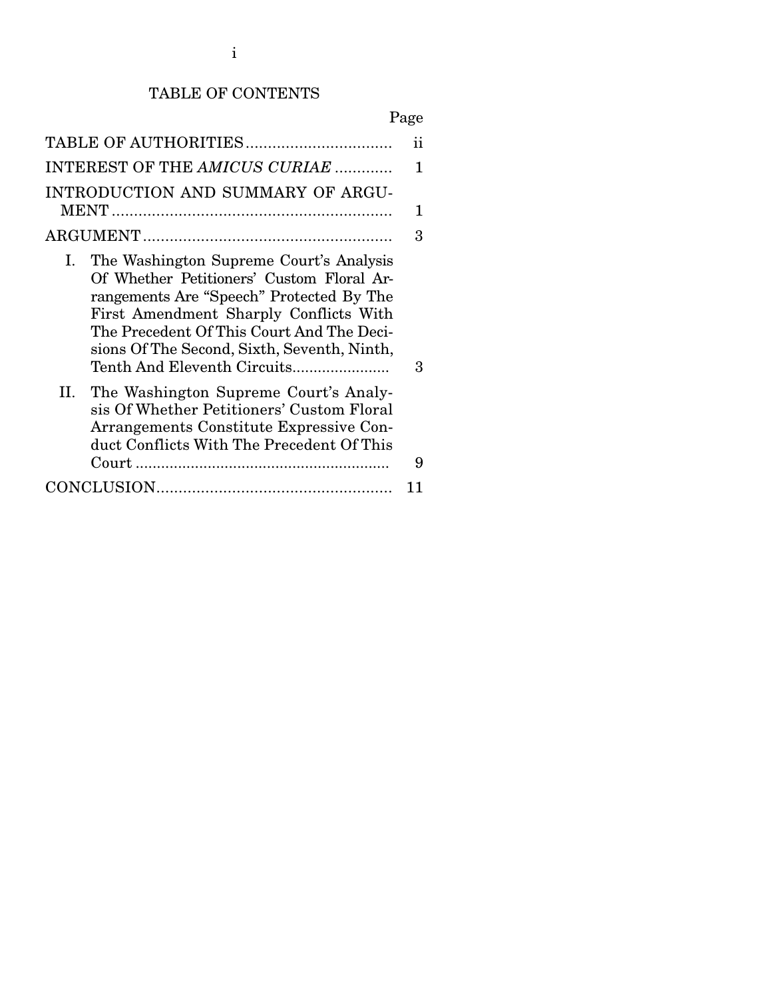### TABLE OF CONTENTS

|--|

|                                                                                                                                                                                                                                                                                                             | ij |  |  |
|-------------------------------------------------------------------------------------------------------------------------------------------------------------------------------------------------------------------------------------------------------------------------------------------------------------|----|--|--|
| INTEREST OF THE AMICUS CURIAE<br>1                                                                                                                                                                                                                                                                          |    |  |  |
| INTRODUCTION AND SUMMARY OF ARGU-                                                                                                                                                                                                                                                                           | 1  |  |  |
|                                                                                                                                                                                                                                                                                                             | 3  |  |  |
| The Washington Supreme Court's Analysis<br>Ι.<br>Of Whether Petitioners' Custom Floral Ar-<br>rangements Are "Speech" Protected By The<br>First Amendment Sharply Conflicts With<br>The Precedent Of This Court And The Deci-<br>sions Of The Second, Sixth, Seventh, Ninth,<br>Tenth And Eleventh Circuits | 3  |  |  |
| The Washington Supreme Court's Analy-<br>П.<br>sis Of Whether Petitioners' Custom Floral<br>Arrangements Constitute Expressive Con-<br>duct Conflicts With The Precedent Of This                                                                                                                            |    |  |  |
|                                                                                                                                                                                                                                                                                                             | 9  |  |  |
|                                                                                                                                                                                                                                                                                                             |    |  |  |
|                                                                                                                                                                                                                                                                                                             |    |  |  |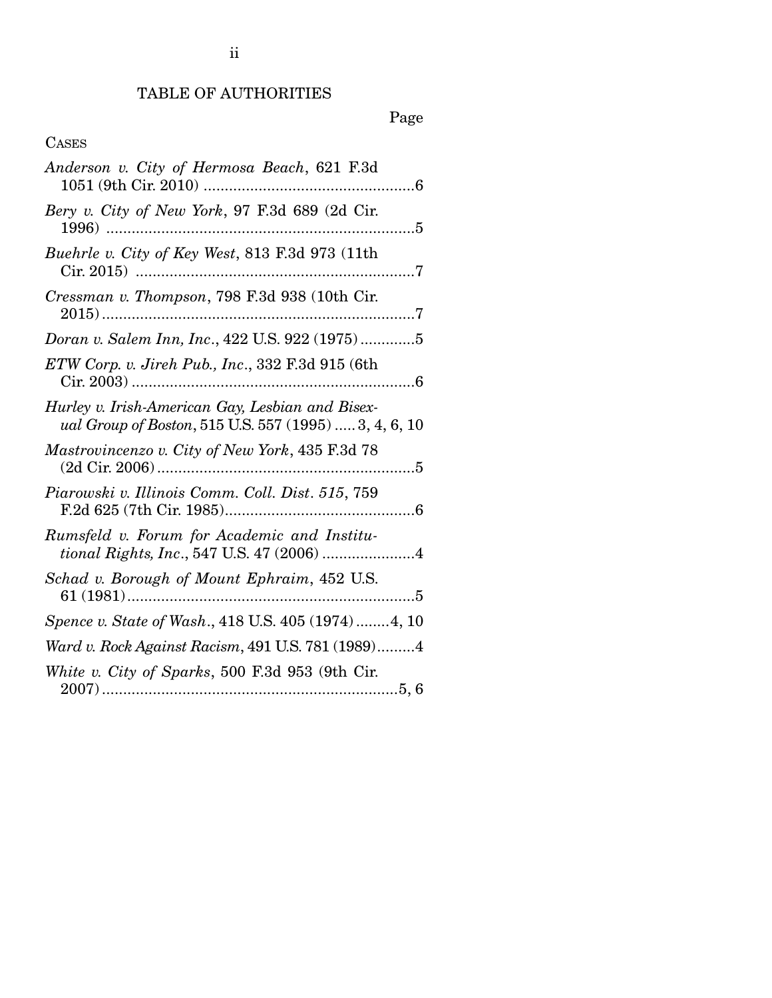## TABLE OF AUTHORITIES

Page

## CASES

| Anderson v. City of Hermosa Beach, 621 F.3d                                                               |
|-----------------------------------------------------------------------------------------------------------|
| Bery v. City of New York, 97 F.3d 689 (2d Cir.<br>1996)<br>. 5                                            |
| Buehrle v. City of Key West, 813 F.3d 973 (11th<br>Cir. 2015)                                             |
| Cressman v. Thompson, 798 F.3d 938 (10th Cir.                                                             |
| Doran v. Salem Inn, Inc., 422 U.S. 922 (1975)5                                                            |
| ETW Corp. v. Jireh Pub., Inc., 332 F.3d 915 (6th                                                          |
| Hurley v. Irish-American Gay, Lesbian and Bisex-<br>ual Group of Boston, 515 U.S. 557 (1995)  3, 4, 6, 10 |
| Mastrovincenzo v. City of New York, 435 F.3d 78                                                           |
| Piarowski v. Illinois Comm. Coll. Dist. 515, 759                                                          |
| Rumsfeld v. Forum for Academic and Institu-<br>tional Rights, Inc., 547 U.S. 47 (2006) 4                  |
| Schad v. Borough of Mount Ephraim, 452 U.S.                                                               |
| Spence v. State of Wash., 418 U.S. 405 (1974)4, 10                                                        |
| Ward v. Rock Against Racism, 491 U.S. 781 (1989)4                                                         |
| White v. City of Sparks, 500 F.3d 953 (9th Cir.                                                           |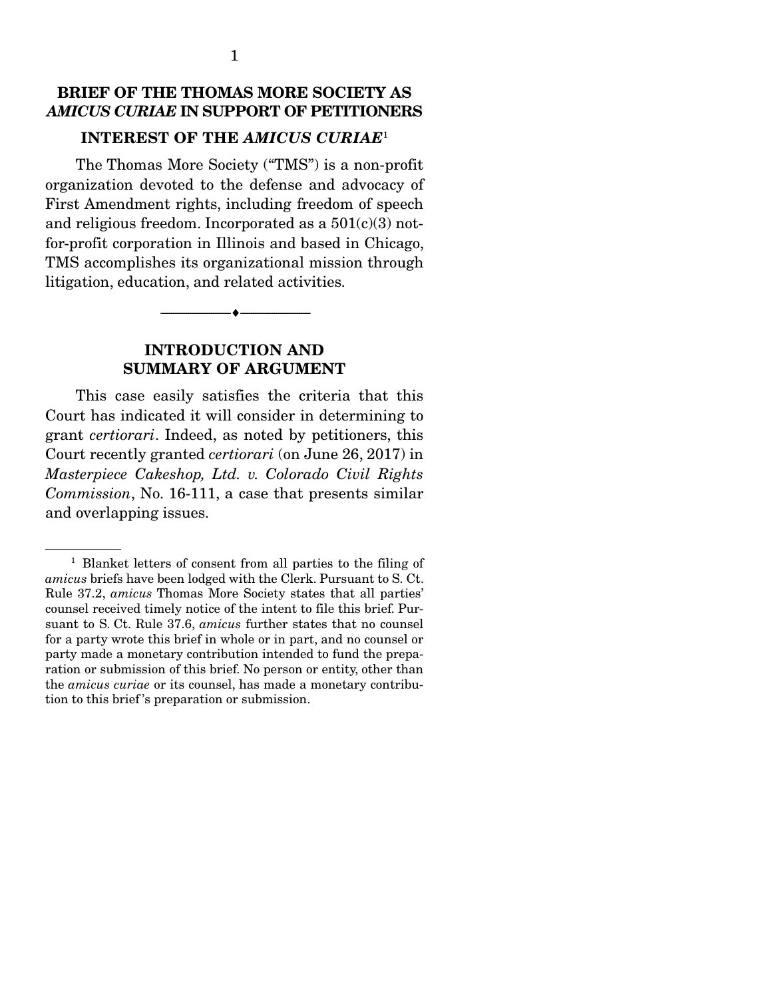### BRIEF OF THE THOMAS MORE SOCIETY AS *AMICUS CURIAE* IN SUPPORT OF PETITIONERS

#### INTEREST OF THE *AMICUS CURIAE*<sup>1</sup>

The Thomas More Society ("TMS") is a non-profit organization devoted to the defense and advocacy of First Amendment rights, including freedom of speech and religious freedom. Incorporated as a  $501(c)(3)$  notfor-profit corporation in Illinois and based in Chicago, TMS accomplishes its organizational mission through litigation, education, and related activities.

> INTRODUCTION AND SUMMARY OF ARGUMENT

--------------------------------- ---------------------------------

 This case easily satisfies the criteria that this Court has indicated it will consider in determining to grant *certiorari*. Indeed, as noted by petitioners, this Court recently granted *certiorari* (on June 26, 2017) in *Masterpiece Cakeshop, Ltd. v. Colorado Civil Rights Commission*, No. 16-111, a case that presents similar and overlapping issues.

<sup>&</sup>lt;sup>1</sup> Blanket letters of consent from all parties to the filing of *amicus* briefs have been lodged with the Clerk. Pursuant to S. Ct. Rule 37.2, *amicus* Thomas More Society states that all parties' counsel received timely notice of the intent to file this brief. Pursuant to S. Ct. Rule 37.6, *amicus* further states that no counsel for a party wrote this brief in whole or in part, and no counsel or party made a monetary contribution intended to fund the preparation or submission of this brief. No person or entity, other than the *amicus curiae* or its counsel, has made a monetary contribution to this brief 's preparation or submission.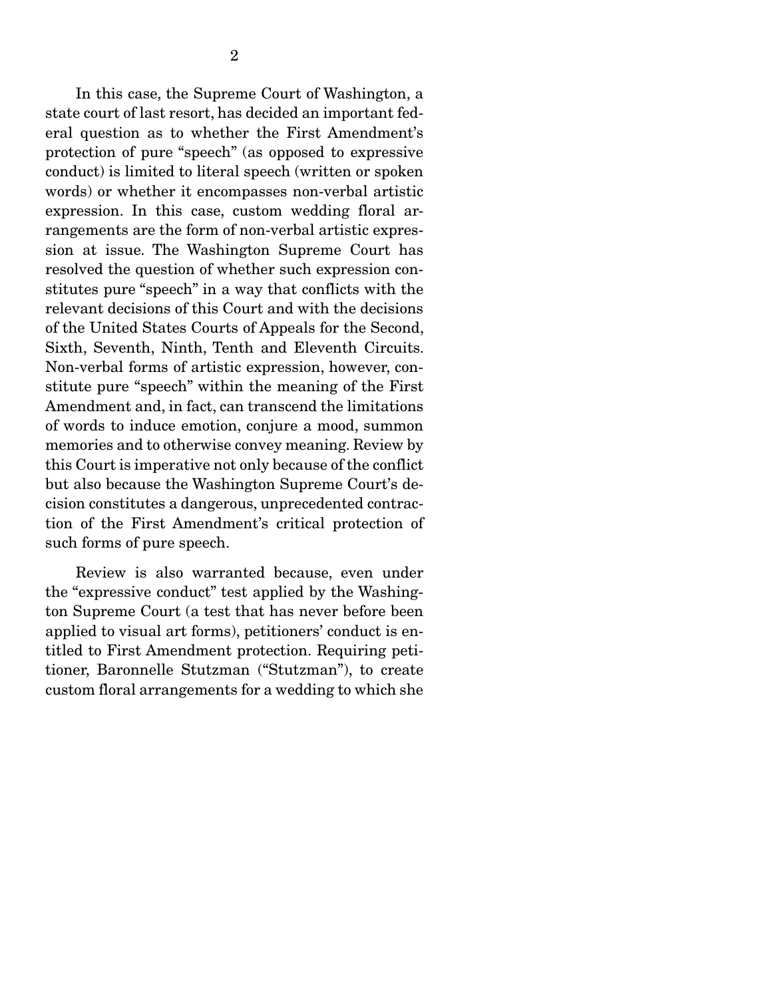In this case, the Supreme Court of Washington, a state court of last resort, has decided an important federal question as to whether the First Amendment's protection of pure "speech" (as opposed to expressive conduct) is limited to literal speech (written or spoken words) or whether it encompasses non-verbal artistic expression. In this case, custom wedding floral arrangements are the form of non-verbal artistic expression at issue. The Washington Supreme Court has resolved the question of whether such expression constitutes pure "speech" in a way that conflicts with the relevant decisions of this Court and with the decisions of the United States Courts of Appeals for the Second, Sixth, Seventh, Ninth, Tenth and Eleventh Circuits. Non-verbal forms of artistic expression, however, constitute pure "speech" within the meaning of the First Amendment and, in fact, can transcend the limitations of words to induce emotion, conjure a mood, summon memories and to otherwise convey meaning. Review by this Court is imperative not only because of the conflict but also because the Washington Supreme Court's decision constitutes a dangerous, unprecedented contraction of the First Amendment's critical protection of such forms of pure speech.

 Review is also warranted because, even under the "expressive conduct" test applied by the Washington Supreme Court (a test that has never before been applied to visual art forms), petitioners' conduct is entitled to First Amendment protection. Requiring petitioner, Baronnelle Stutzman ("Stutzman"), to create custom floral arrangements for a wedding to which she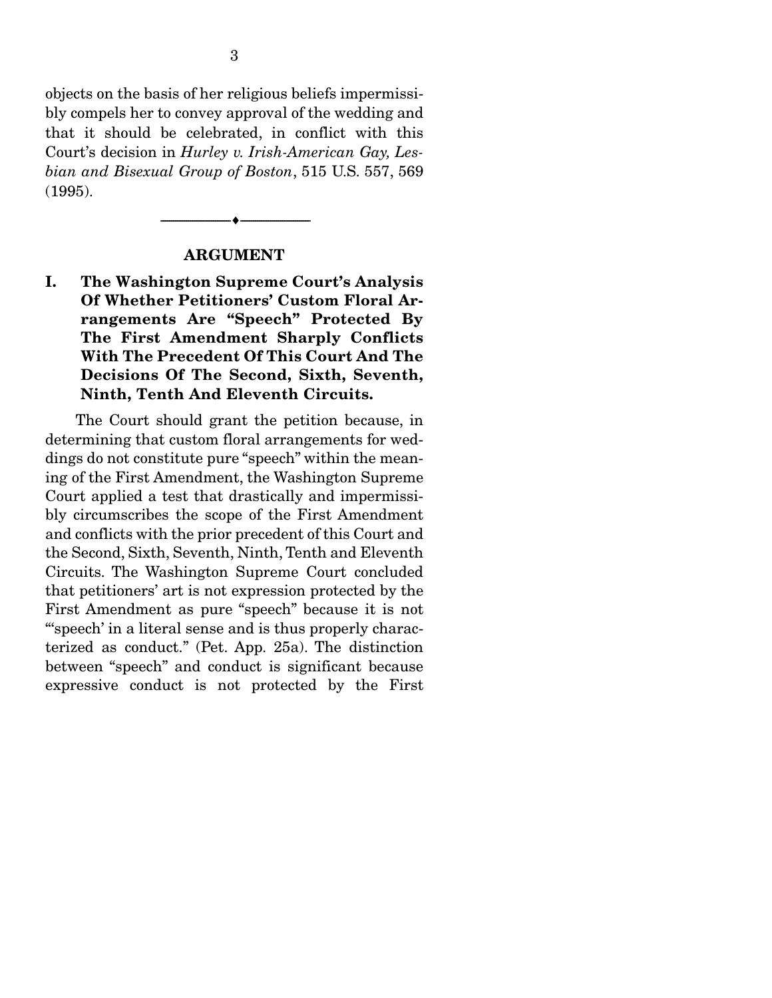objects on the basis of her religious beliefs impermissibly compels her to convey approval of the wedding and that it should be celebrated, in conflict with this Court's decision in *Hurley v. Irish-American Gay, Lesbian and Bisexual Group of Boston*, 515 U.S. 557, 569 (1995).

#### ARGUMENT

--------------------------------- ---------------------------------

I. The Washington Supreme Court's Analysis Of Whether Petitioners' Custom Floral Arrangements Are "Speech" Protected By The First Amendment Sharply Conflicts With The Precedent Of This Court And The Decisions Of The Second, Sixth, Seventh, Ninth, Tenth And Eleventh Circuits.

 The Court should grant the petition because, in determining that custom floral arrangements for weddings do not constitute pure "speech" within the meaning of the First Amendment, the Washington Supreme Court applied a test that drastically and impermissibly circumscribes the scope of the First Amendment and conflicts with the prior precedent of this Court and the Second, Sixth, Seventh, Ninth, Tenth and Eleventh Circuits. The Washington Supreme Court concluded that petitioners' art is not expression protected by the First Amendment as pure "speech" because it is not "'speech' in a literal sense and is thus properly characterized as conduct." (Pet. App. 25a). The distinction between "speech" and conduct is significant because expressive conduct is not protected by the First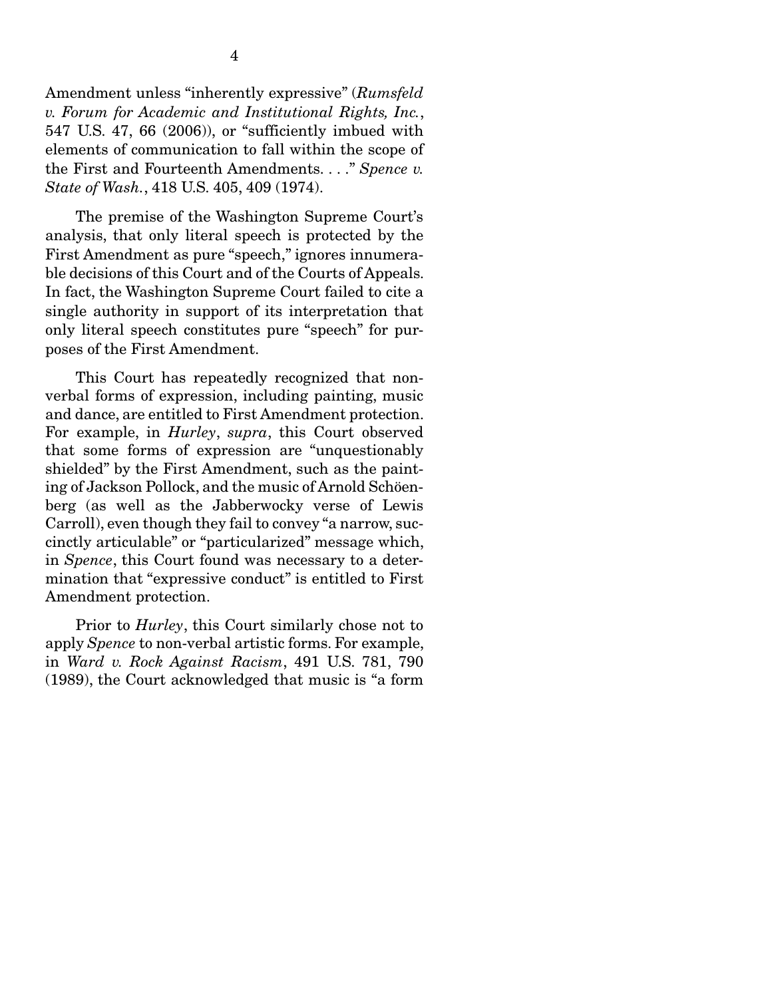Amendment unless "inherently expressive" (*Rumsfeld v. Forum for Academic and Institutional Rights, Inc.*, 547 U.S. 47, 66 (2006)), or "sufficiently imbued with elements of communication to fall within the scope of the First and Fourteenth Amendments. . . ." *Spence v. State of Wash.*, 418 U.S. 405, 409 (1974).

 The premise of the Washington Supreme Court's analysis, that only literal speech is protected by the First Amendment as pure "speech," ignores innumerable decisions of this Court and of the Courts of Appeals. In fact, the Washington Supreme Court failed to cite a single authority in support of its interpretation that only literal speech constitutes pure "speech" for purposes of the First Amendment.

 This Court has repeatedly recognized that nonverbal forms of expression, including painting, music and dance, are entitled to First Amendment protection. For example, in *Hurley*, *supra*, this Court observed that some forms of expression are "unquestionably shielded" by the First Amendment, such as the painting of Jackson Pollock, and the music of Arnold Schöenberg (as well as the Jabberwocky verse of Lewis Carroll), even though they fail to convey "a narrow, succinctly articulable" or "particularized" message which, in *Spence*, this Court found was necessary to a determination that "expressive conduct" is entitled to First Amendment protection.

 Prior to *Hurley*, this Court similarly chose not to apply *Spence* to non-verbal artistic forms. For example, in *Ward v. Rock Against Racism*, 491 U.S. 781, 790 (1989), the Court acknowledged that music is "a form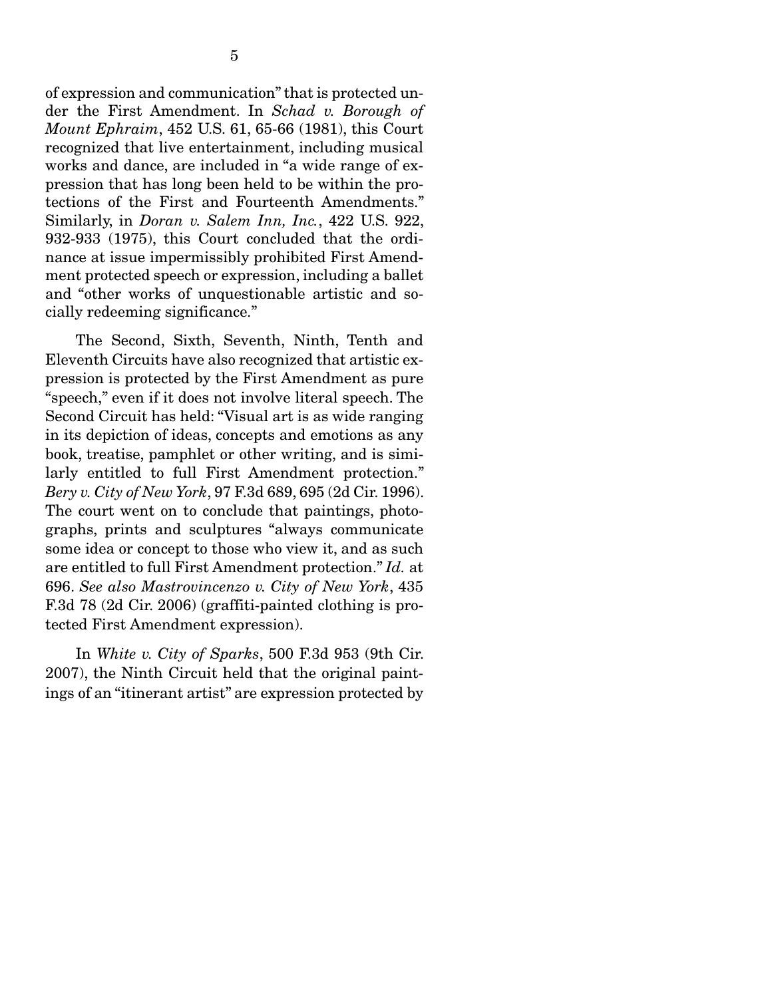of expression and communication" that is protected under the First Amendment. In *Schad v. Borough of Mount Ephraim*, 452 U.S. 61, 65-66 (1981), this Court recognized that live entertainment, including musical works and dance, are included in "a wide range of expression that has long been held to be within the protections of the First and Fourteenth Amendments." Similarly, in *Doran v. Salem Inn, Inc.*, 422 U.S. 922, 932-933 (1975), this Court concluded that the ordinance at issue impermissibly prohibited First Amendment protected speech or expression, including a ballet and "other works of unquestionable artistic and socially redeeming significance."

 The Second, Sixth, Seventh, Ninth, Tenth and Eleventh Circuits have also recognized that artistic expression is protected by the First Amendment as pure "speech," even if it does not involve literal speech. The Second Circuit has held: "Visual art is as wide ranging in its depiction of ideas, concepts and emotions as any book, treatise, pamphlet or other writing, and is similarly entitled to full First Amendment protection." *Bery v. City of New York*, 97 F.3d 689, 695 (2d Cir. 1996). The court went on to conclude that paintings, photographs, prints and sculptures "always communicate some idea or concept to those who view it, and as such are entitled to full First Amendment protection." *Id.* at 696. *See also Mastrovincenzo v. City of New York*, 435 F.3d 78 (2d Cir. 2006) (graffiti-painted clothing is protected First Amendment expression).

 In *White v. City of Sparks*, 500 F.3d 953 (9th Cir. 2007), the Ninth Circuit held that the original paintings of an "itinerant artist" are expression protected by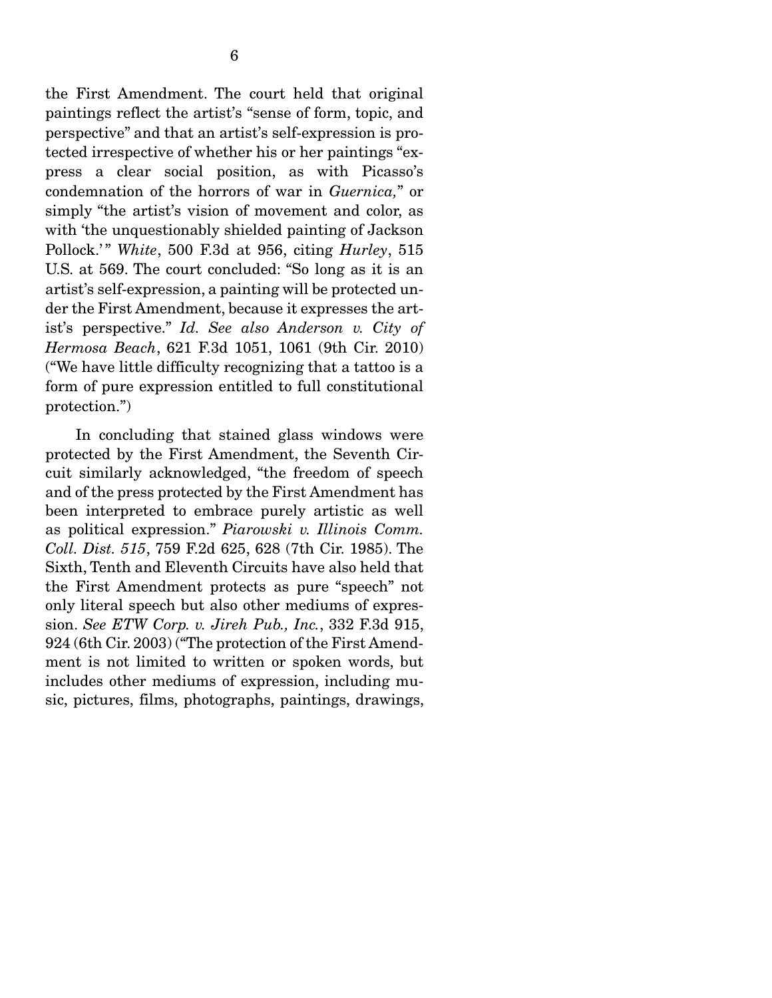the First Amendment. The court held that original paintings reflect the artist's "sense of form, topic, and perspective" and that an artist's self-expression is protected irrespective of whether his or her paintings "express a clear social position, as with Picasso's condemnation of the horrors of war in *Guernica,*" or simply "the artist's vision of movement and color, as with 'the unquestionably shielded painting of Jackson Pollock.' " *White*, 500 F.3d at 956, citing *Hurley*, 515 U.S. at 569. The court concluded: "So long as it is an artist's self-expression, a painting will be protected under the First Amendment, because it expresses the artist's perspective." *Id. See also Anderson v. City of Hermosa Beach*, 621 F.3d 1051, 1061 (9th Cir. 2010) ("We have little difficulty recognizing that a tattoo is a form of pure expression entitled to full constitutional protection.")

 In concluding that stained glass windows were protected by the First Amendment, the Seventh Circuit similarly acknowledged, "the freedom of speech and of the press protected by the First Amendment has been interpreted to embrace purely artistic as well as political expression." *Piarowski v. Illinois Comm. Coll. Dist. 515*, 759 F.2d 625, 628 (7th Cir. 1985). The Sixth, Tenth and Eleventh Circuits have also held that the First Amendment protects as pure "speech" not only literal speech but also other mediums of expression. *See ETW Corp. v. Jireh Pub., Inc.*, 332 F.3d 915, 924 (6th Cir. 2003) ("The protection of the First Amendment is not limited to written or spoken words, but includes other mediums of expression, including music, pictures, films, photographs, paintings, drawings,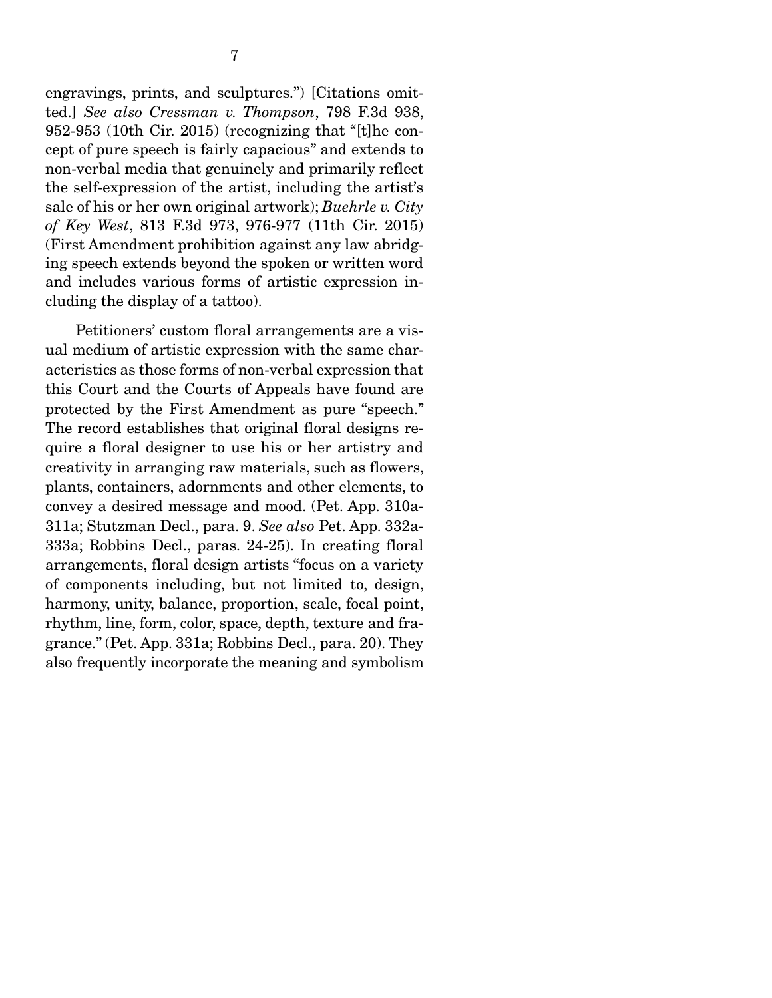engravings, prints, and sculptures.") [Citations omitted.] *See also Cressman v. Thompson*, 798 F.3d 938, 952-953 (10th Cir. 2015) (recognizing that "[t]he concept of pure speech is fairly capacious" and extends to non-verbal media that genuinely and primarily reflect the self-expression of the artist, including the artist's sale of his or her own original artwork); *Buehrle v. City of Key West*, 813 F.3d 973, 976-977 (11th Cir. 2015) (First Amendment prohibition against any law abridging speech extends beyond the spoken or written word and includes various forms of artistic expression including the display of a tattoo).

 Petitioners' custom floral arrangements are a visual medium of artistic expression with the same characteristics as those forms of non-verbal expression that this Court and the Courts of Appeals have found are protected by the First Amendment as pure "speech." The record establishes that original floral designs require a floral designer to use his or her artistry and creativity in arranging raw materials, such as flowers, plants, containers, adornments and other elements, to convey a desired message and mood. (Pet. App. 310a-311a; Stutzman Decl., para. 9. *See also* Pet. App. 332a-333a; Robbins Decl., paras. 24-25). In creating floral arrangements, floral design artists "focus on a variety of components including, but not limited to, design, harmony, unity, balance, proportion, scale, focal point, rhythm, line, form, color, space, depth, texture and fragrance." (Pet. App. 331a; Robbins Decl., para. 20). They also frequently incorporate the meaning and symbolism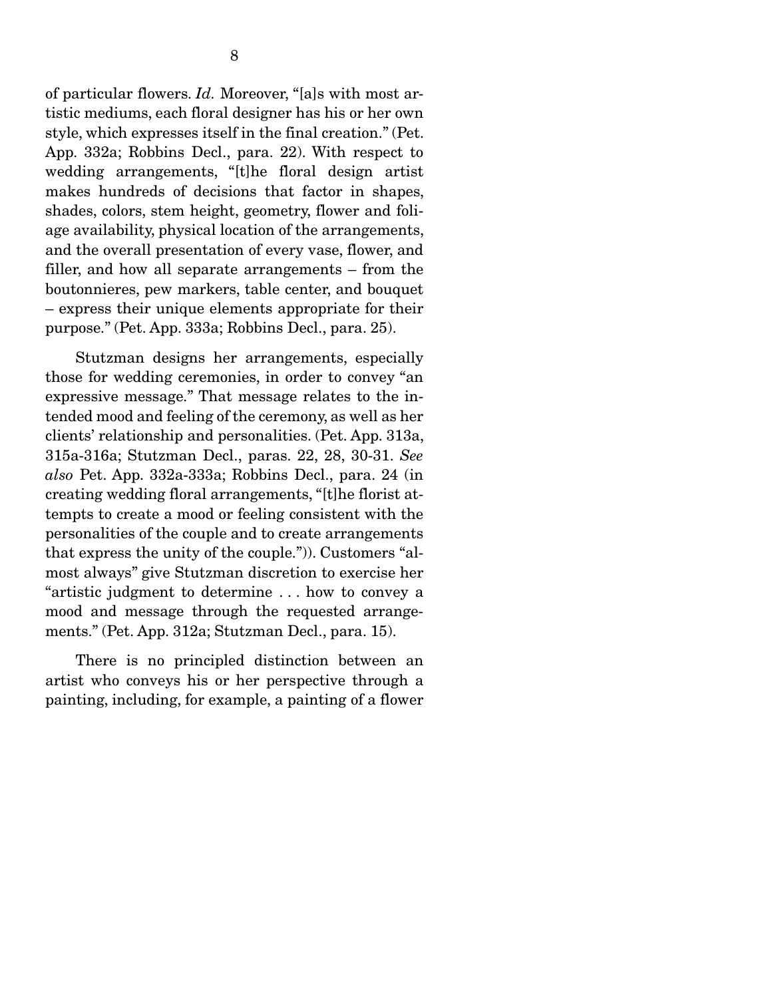of particular flowers. *Id.* Moreover, "[a]s with most artistic mediums, each floral designer has his or her own style, which expresses itself in the final creation." (Pet. App. 332a; Robbins Decl., para. 22). With respect to wedding arrangements, "[t]he floral design artist makes hundreds of decisions that factor in shapes, shades, colors, stem height, geometry, flower and foliage availability, physical location of the arrangements, and the overall presentation of every vase, flower, and filler, and how all separate arrangements – from the boutonnieres, pew markers, table center, and bouquet – express their unique elements appropriate for their purpose." (Pet. App. 333a; Robbins Decl., para. 25).

 Stutzman designs her arrangements, especially those for wedding ceremonies, in order to convey "an expressive message." That message relates to the intended mood and feeling of the ceremony, as well as her clients' relationship and personalities. (Pet. App. 313a, 315a-316a; Stutzman Decl., paras. 22, 28, 30-31. *See also* Pet. App. 332a-333a; Robbins Decl., para. 24 (in creating wedding floral arrangements, "[t]he florist attempts to create a mood or feeling consistent with the personalities of the couple and to create arrangements that express the unity of the couple.")). Customers "almost always" give Stutzman discretion to exercise her "artistic judgment to determine . . . how to convey a mood and message through the requested arrangements." (Pet. App. 312a; Stutzman Decl., para. 15).

 There is no principled distinction between an artist who conveys his or her perspective through a painting, including, for example, a painting of a flower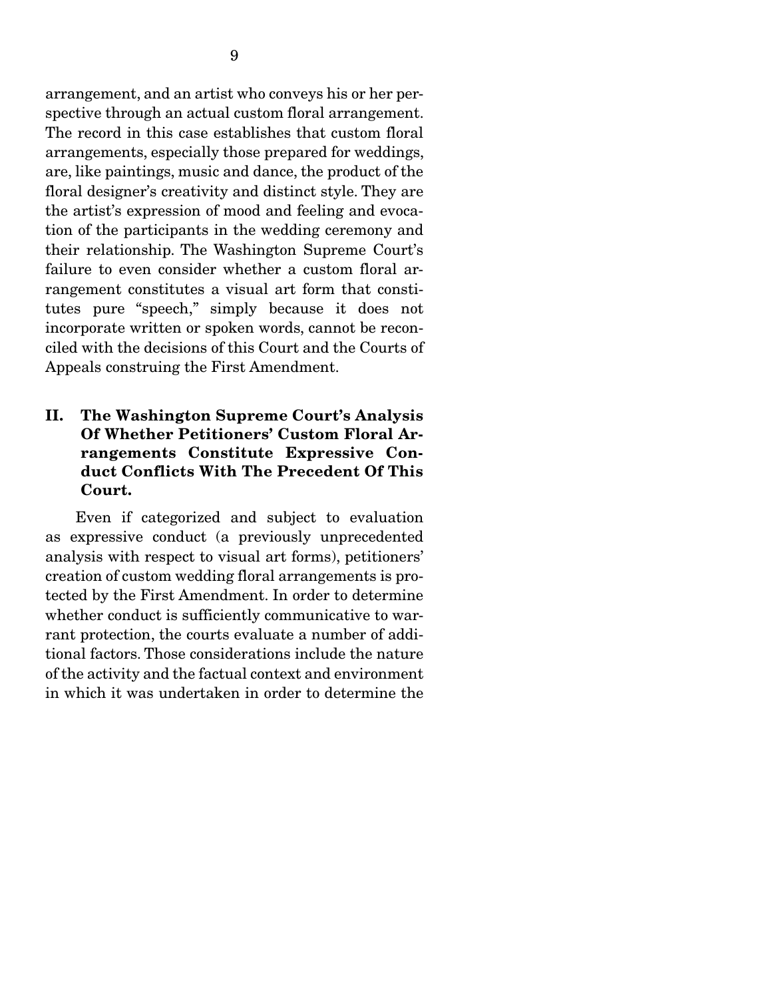arrangement, and an artist who conveys his or her perspective through an actual custom floral arrangement. The record in this case establishes that custom floral arrangements, especially those prepared for weddings, are, like paintings, music and dance, the product of the floral designer's creativity and distinct style. They are the artist's expression of mood and feeling and evocation of the participants in the wedding ceremony and their relationship. The Washington Supreme Court's failure to even consider whether a custom floral arrangement constitutes a visual art form that constitutes pure "speech," simply because it does not incorporate written or spoken words, cannot be reconciled with the decisions of this Court and the Courts of Appeals construing the First Amendment.

#### II. The Washington Supreme Court's Analysis Of Whether Petitioners' Custom Floral Arrangements Constitute Expressive Conduct Conflicts With The Precedent Of This Court.

 Even if categorized and subject to evaluation as expressive conduct (a previously unprecedented analysis with respect to visual art forms), petitioners' creation of custom wedding floral arrangements is protected by the First Amendment. In order to determine whether conduct is sufficiently communicative to warrant protection, the courts evaluate a number of additional factors. Those considerations include the nature of the activity and the factual context and environment in which it was undertaken in order to determine the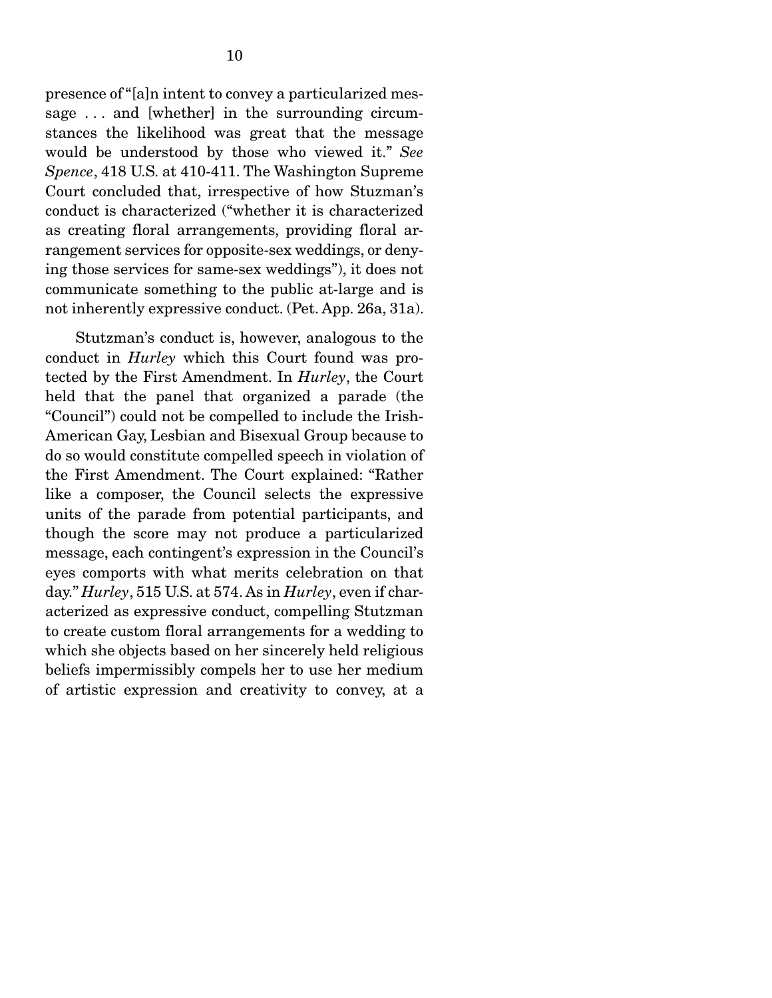presence of "[a]n intent to convey a particularized message ... and [whether] in the surrounding circumstances the likelihood was great that the message would be understood by those who viewed it." *See Spence*, 418 U.S. at 410-411. The Washington Supreme Court concluded that, irrespective of how Stuzman's conduct is characterized ("whether it is characterized as creating floral arrangements, providing floral arrangement services for opposite-sex weddings, or denying those services for same-sex weddings"), it does not communicate something to the public at-large and is not inherently expressive conduct. (Pet. App. 26a, 31a).

 Stutzman's conduct is, however, analogous to the conduct in *Hurley* which this Court found was protected by the First Amendment. In *Hurley*, the Court held that the panel that organized a parade (the "Council") could not be compelled to include the Irish-American Gay, Lesbian and Bisexual Group because to do so would constitute compelled speech in violation of the First Amendment. The Court explained: "Rather like a composer, the Council selects the expressive units of the parade from potential participants, and though the score may not produce a particularized message, each contingent's expression in the Council's eyes comports with what merits celebration on that day." *Hurley*, 515 U.S. at 574. As in *Hurley*, even if characterized as expressive conduct, compelling Stutzman to create custom floral arrangements for a wedding to which she objects based on her sincerely held religious beliefs impermissibly compels her to use her medium of artistic expression and creativity to convey, at a